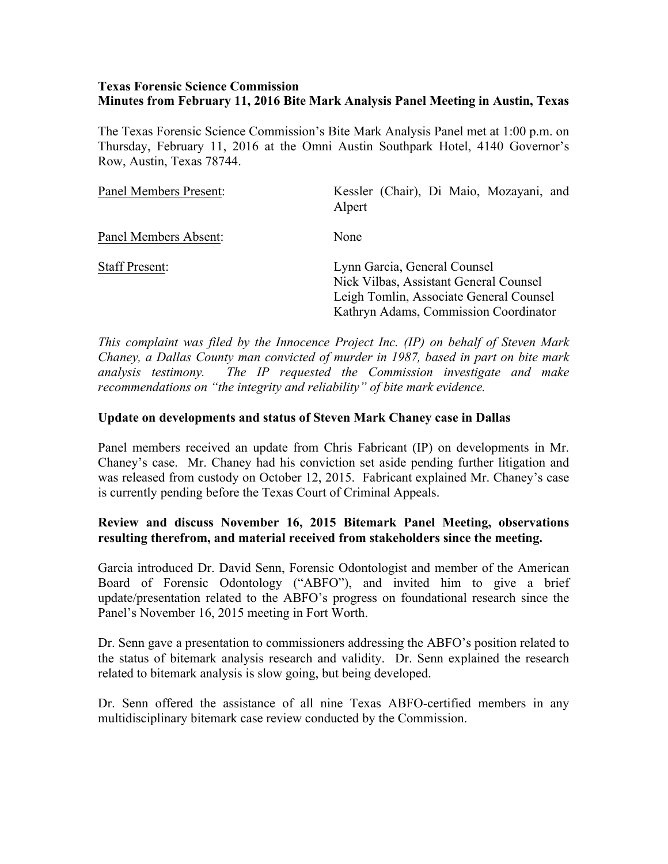#### **Texas Forensic Science Commission Minutes from February 11, 2016 Bite Mark Analysis Panel Meeting in Austin, Texas**

The Texas Forensic Science Commission's Bite Mark Analysis Panel met at 1:00 p.m. on Thursday, February 11, 2016 at the Omni Austin Southpark Hotel, 4140 Governor's Row, Austin, Texas 78744.

| Panel Members Present: | Kessler (Chair), Di Maio, Mozayani, and<br>Alpert                                                                                                          |
|------------------------|------------------------------------------------------------------------------------------------------------------------------------------------------------|
| Panel Members Absent:  | None                                                                                                                                                       |
| <b>Staff Present:</b>  | Lynn Garcia, General Counsel<br>Nick Vilbas, Assistant General Counsel<br>Leigh Tomlin, Associate General Counsel<br>Kathryn Adams, Commission Coordinator |

*This complaint was filed by the Innocence Project Inc. (IP) on behalf of Steven Mark Chaney, a Dallas County man convicted of murder in 1987, based in part on bite mark analysis testimony. The IP requested the Commission investigate and make recommendations on "the integrity and reliability" of bite mark evidence.*

#### **Update on developments and status of Steven Mark Chaney case in Dallas**

Panel members received an update from Chris Fabricant (IP) on developments in Mr. Chaney's case. Mr. Chaney had his conviction set aside pending further litigation and was released from custody on October 12, 2015. Fabricant explained Mr. Chaney's case is currently pending before the Texas Court of Criminal Appeals.

## **Review and discuss November 16, 2015 Bitemark Panel Meeting, observations resulting therefrom, and material received from stakeholders since the meeting.**

Garcia introduced Dr. David Senn, Forensic Odontologist and member of the American Board of Forensic Odontology ("ABFO"), and invited him to give a brief update/presentation related to the ABFO's progress on foundational research since the Panel's November 16, 2015 meeting in Fort Worth.

Dr. Senn gave a presentation to commissioners addressing the ABFO's position related to the status of bitemark analysis research and validity. Dr. Senn explained the research related to bitemark analysis is slow going, but being developed.

Dr. Senn offered the assistance of all nine Texas ABFO-certified members in any multidisciplinary bitemark case review conducted by the Commission.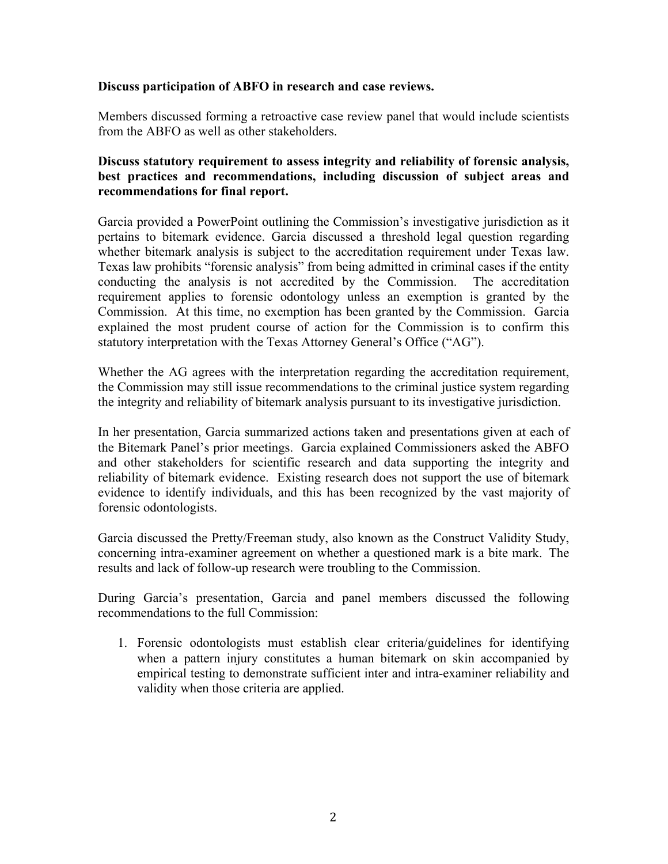## **Discuss participation of ABFO in research and case reviews.**

Members discussed forming a retroactive case review panel that would include scientists from the ABFO as well as other stakeholders.

# **Discuss statutory requirement to assess integrity and reliability of forensic analysis, best practices and recommendations, including discussion of subject areas and recommendations for final report.**

Garcia provided a PowerPoint outlining the Commission's investigative jurisdiction as it pertains to bitemark evidence. Garcia discussed a threshold legal question regarding whether bitemark analysis is subject to the accreditation requirement under Texas law. Texas law prohibits "forensic analysis" from being admitted in criminal cases if the entity conducting the analysis is not accredited by the Commission. The accreditation requirement applies to forensic odontology unless an exemption is granted by the Commission. At this time, no exemption has been granted by the Commission. Garcia explained the most prudent course of action for the Commission is to confirm this statutory interpretation with the Texas Attorney General's Office ("AG").

Whether the AG agrees with the interpretation regarding the accreditation requirement, the Commission may still issue recommendations to the criminal justice system regarding the integrity and reliability of bitemark analysis pursuant to its investigative jurisdiction.

In her presentation, Garcia summarized actions taken and presentations given at each of the Bitemark Panel's prior meetings. Garcia explained Commissioners asked the ABFO and other stakeholders for scientific research and data supporting the integrity and reliability of bitemark evidence. Existing research does not support the use of bitemark evidence to identify individuals, and this has been recognized by the vast majority of forensic odontologists.

Garcia discussed the Pretty/Freeman study, also known as the Construct Validity Study, concerning intra-examiner agreement on whether a questioned mark is a bite mark. The results and lack of follow-up research were troubling to the Commission.

During Garcia's presentation, Garcia and panel members discussed the following recommendations to the full Commission:

1. Forensic odontologists must establish clear criteria/guidelines for identifying when a pattern injury constitutes a human bitemark on skin accompanied by empirical testing to demonstrate sufficient inter and intra-examiner reliability and validity when those criteria are applied.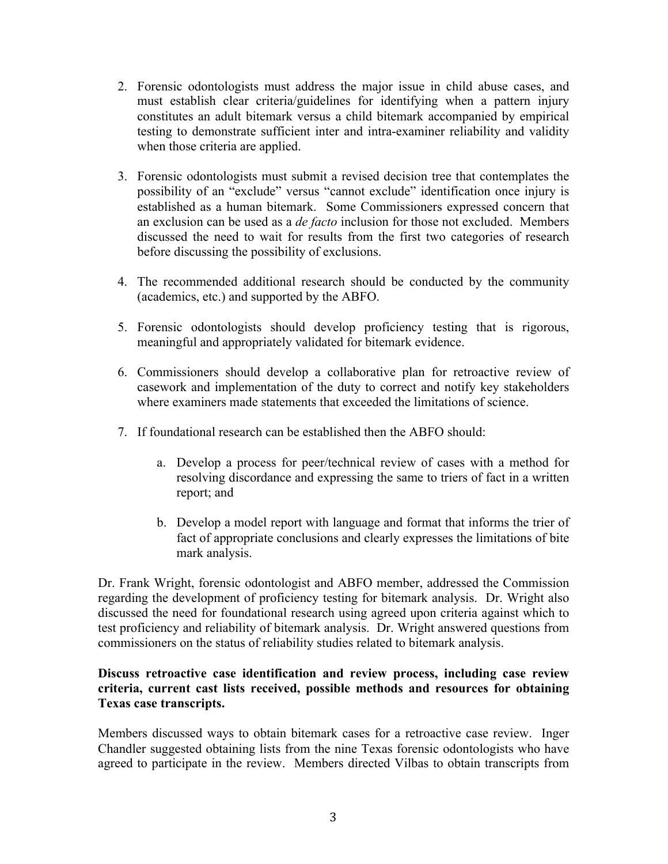- 2. Forensic odontologists must address the major issue in child abuse cases, and must establish clear criteria/guidelines for identifying when a pattern injury constitutes an adult bitemark versus a child bitemark accompanied by empirical testing to demonstrate sufficient inter and intra-examiner reliability and validity when those criteria are applied.
- 3. Forensic odontologists must submit a revised decision tree that contemplates the possibility of an "exclude" versus "cannot exclude" identification once injury is established as a human bitemark. Some Commissioners expressed concern that an exclusion can be used as a *de facto* inclusion for those not excluded. Members discussed the need to wait for results from the first two categories of research before discussing the possibility of exclusions.
- 4. The recommended additional research should be conducted by the community (academics, etc.) and supported by the ABFO.
- 5. Forensic odontologists should develop proficiency testing that is rigorous, meaningful and appropriately validated for bitemark evidence.
- 6. Commissioners should develop a collaborative plan for retroactive review of casework and implementation of the duty to correct and notify key stakeholders where examiners made statements that exceeded the limitations of science.
- 7. If foundational research can be established then the ABFO should:
	- a. Develop a process for peer/technical review of cases with a method for resolving discordance and expressing the same to triers of fact in a written report; and
	- b. Develop a model report with language and format that informs the trier of fact of appropriate conclusions and clearly expresses the limitations of bite mark analysis.

Dr. Frank Wright, forensic odontologist and ABFO member, addressed the Commission regarding the development of proficiency testing for bitemark analysis. Dr. Wright also discussed the need for foundational research using agreed upon criteria against which to test proficiency and reliability of bitemark analysis. Dr. Wright answered questions from commissioners on the status of reliability studies related to bitemark analysis.

# **Discuss retroactive case identification and review process, including case review criteria, current cast lists received, possible methods and resources for obtaining Texas case transcripts.**

Members discussed ways to obtain bitemark cases for a retroactive case review. Inger Chandler suggested obtaining lists from the nine Texas forensic odontologists who have agreed to participate in the review. Members directed Vilbas to obtain transcripts from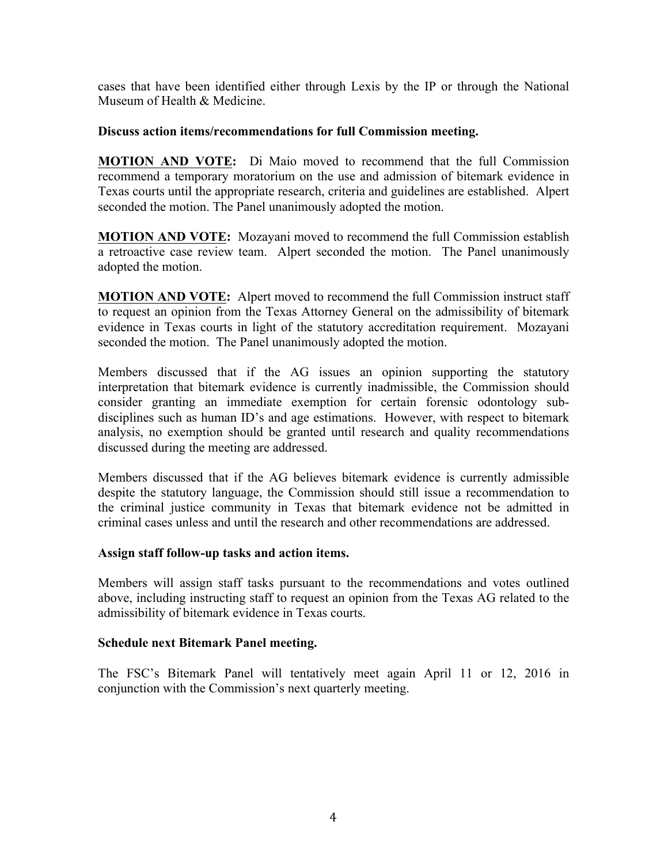cases that have been identified either through Lexis by the IP or through the National Museum of Health & Medicine.

## **Discuss action items/recommendations for full Commission meeting.**

**MOTION AND VOTE:** Di Maio moved to recommend that the full Commission recommend a temporary moratorium on the use and admission of bitemark evidence in Texas courts until the appropriate research, criteria and guidelines are established. Alpert seconded the motion. The Panel unanimously adopted the motion.

**MOTION AND VOTE:** Mozayani moved to recommend the full Commission establish a retroactive case review team. Alpert seconded the motion. The Panel unanimously adopted the motion.

**MOTION AND VOTE:** Alpert moved to recommend the full Commission instruct staff to request an opinion from the Texas Attorney General on the admissibility of bitemark evidence in Texas courts in light of the statutory accreditation requirement. Mozayani seconded the motion. The Panel unanimously adopted the motion.

Members discussed that if the AG issues an opinion supporting the statutory interpretation that bitemark evidence is currently inadmissible, the Commission should consider granting an immediate exemption for certain forensic odontology subdisciplines such as human ID's and age estimations. However, with respect to bitemark analysis, no exemption should be granted until research and quality recommendations discussed during the meeting are addressed.

Members discussed that if the AG believes bitemark evidence is currently admissible despite the statutory language, the Commission should still issue a recommendation to the criminal justice community in Texas that bitemark evidence not be admitted in criminal cases unless and until the research and other recommendations are addressed.

# **Assign staff follow-up tasks and action items.**

Members will assign staff tasks pursuant to the recommendations and votes outlined above, including instructing staff to request an opinion from the Texas AG related to the admissibility of bitemark evidence in Texas courts.

# **Schedule next Bitemark Panel meeting.**

The FSC's Bitemark Panel will tentatively meet again April 11 or 12, 2016 in conjunction with the Commission's next quarterly meeting.